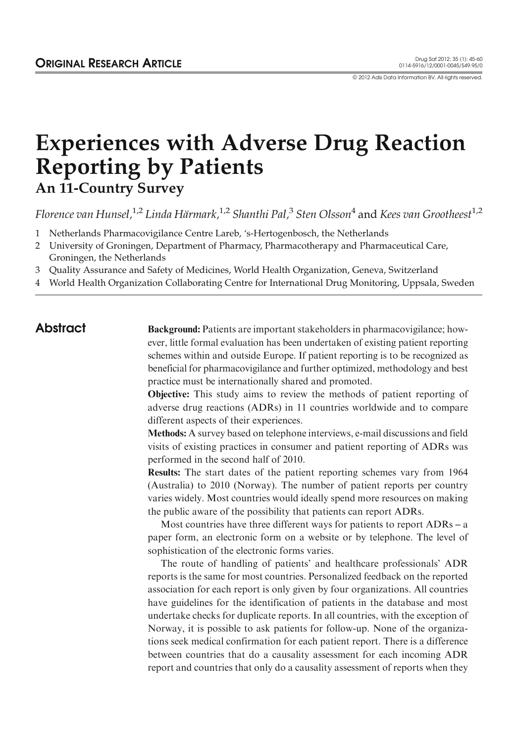© 2012 Adis Data Information BV. All rights reserved.

# Experiences with Adverse Drug Reaction Reporting by Patients An 11-Country Survey

Florence van Hunsel,<sup>1,2</sup> Linda Härmark,<sup>1,2</sup> Shanthi Pal,<sup>3</sup> Sten Olsson<sup>4</sup> and Kees van Grootheest<sup>1,2</sup>

- 1 Netherlands Pharmacovigilance Centre Lareb, 's-Hertogenbosch, the Netherlands
- 2 University of Groningen, Department of Pharmacy, Pharmacotherapy and Pharmaceutical Care, Groningen, the Netherlands
- 3 Quality Assurance and Safety of Medicines, World Health Organization, Geneva, Switzerland
- 4 World Health Organization Collaborating Centre for International Drug Monitoring, Uppsala, Sweden

Abstract Background: Patients are important stakeholders in pharmacovigilance; however, little formal evaluation has been undertaken of existing patient reporting schemes within and outside Europe. If patient reporting is to be recognized as beneficial for pharmacovigilance and further optimized, methodology and best practice must be internationally shared and promoted.

> Objective: This study aims to review the methods of patient reporting of adverse drug reactions (ADRs) in 11 countries worldwide and to compare different aspects of their experiences.

> Methods: A survey based on telephone interviews, e-mail discussions and field visits of existing practices in consumer and patient reporting of ADRs was performed in the second half of 2010.

> Results: The start dates of the patient reporting schemes vary from 1964 (Australia) to 2010 (Norway). The number of patient reports per country varies widely. Most countries would ideally spend more resources on making the public aware of the possibility that patients can report ADRs.

> Most countries have three different ways for patients to report ADRs – a paper form, an electronic form on a website or by telephone. The level of sophistication of the electronic forms varies.

> The route of handling of patients' and healthcare professionals' ADR reports is the same for most countries. Personalized feedback on the reported association for each report is only given by four organizations. All countries have guidelines for the identification of patients in the database and most undertake checks for duplicate reports. In all countries, with the exception of Norway, it is possible to ask patients for follow-up. None of the organizations seek medical confirmation for each patient report. There is a difference between countries that do a causality assessment for each incoming ADR report and countries that only do a causality assessment of reports when they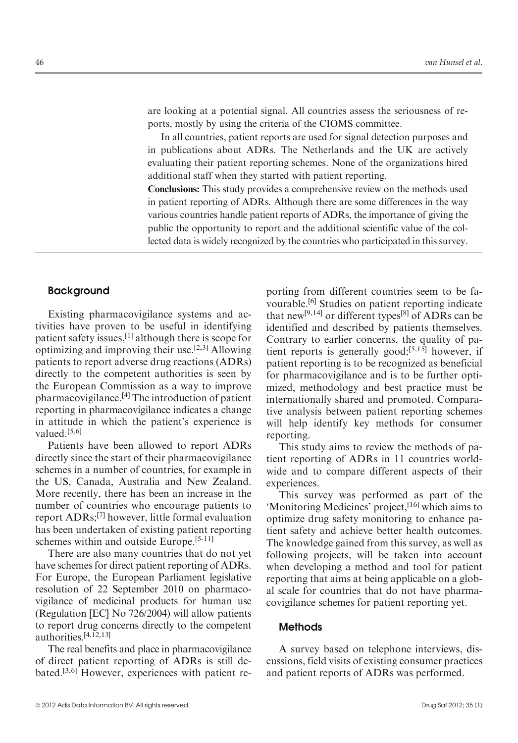are looking at a potential signal. All countries assess the seriousness of reports, mostly by using the criteria of the CIOMS committee.

In all countries, patient reports are used for signal detection purposes and in publications about ADRs. The Netherlands and the UK are actively evaluating their patient reporting schemes. None of the organizations hired additional staff when they started with patient reporting.

Conclusions: This study provides a comprehensive review on the methods used in patient reporting of ADRs. Although there are some differences in the way various countries handle patient reports of ADRs, the importance of giving the public the opportunity to report and the additional scientific value of the collected data is widely recognized by the countries who participated in this survey.

# Background

Existing pharmacovigilance systems and activities have proven to be useful in identifying patient safety issues,<sup>[1]</sup> although there is scope for optimizing and improving their use. $[2,3]$  Allowing patients to report adverse drug reactions (ADRs) directly to the competent authorities is seen by the European Commission as a way to improve pharmacovigilance.[4] The introduction of patient reporting in pharmacovigilance indicates a change in attitude in which the patient's experience is valued $[5,6]$ 

Patients have been allowed to report ADRs directly since the start of their pharmacovigilance schemes in a number of countries, for example in the US, Canada, Australia and New Zealand. More recently, there has been an increase in the number of countries who encourage patients to report ADRs;[7] however, little formal evaluation has been undertaken of existing patient reporting schemes within and outside Europe.[5-11]

There are also many countries that do not yet have schemes for direct patient reporting of ADRs. For Europe, the European Parliament legislative resolution of 22 September 2010 on pharmacovigilance of medicinal products for human use (Regulation [EC] No 726/2004) will allow patients to report drug concerns directly to the competent authorities. $[4,12,13]$ 

The real benefits and place in pharmacovigilance of direct patient reporting of ADRs is still debated.<sup>[3,6]</sup> However, experiences with patient reporting from different countries seem to be favourable.[6] Studies on patient reporting indicate that new<sup>[9,14]</sup> or different types<sup>[8]</sup> of ADRs can be identified and described by patients themselves. Contrary to earlier concerns, the quality of patient reports is generally good; $[5,15]$  however, if patient reporting is to be recognized as beneficial for pharmacovigilance and is to be further optimized, methodology and best practice must be internationally shared and promoted. Comparative analysis between patient reporting schemes will help identify key methods for consumer reporting.

This study aims to review the methods of patient reporting of ADRs in 11 countries worldwide and to compare different aspects of their experiences.

This survey was performed as part of the 'Monitoring Medicines' project,<sup>[16]</sup> which aims to optimize drug safety monitoring to enhance patient safety and achieve better health outcomes. The knowledge gained from this survey, as well as following projects, will be taken into account when developing a method and tool for patient reporting that aims at being applicable on a global scale for countries that do not have pharmacovigilance schemes for patient reporting yet.

#### Methods

A survey based on telephone interviews, discussions, field visits of existing consumer practices and patient reports of ADRs was performed.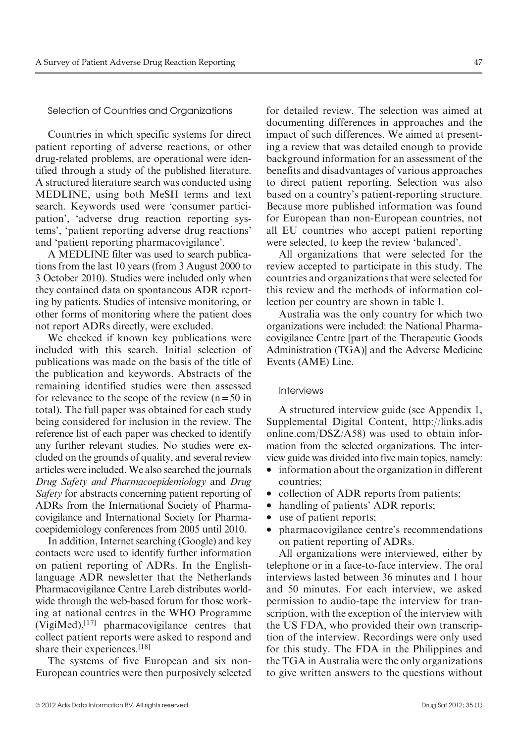Selection of Countries and Organizations

Countries in which specific systems for direct patient reporting of adverse reactions, or other drug-related problems, are operational were identified through a study of the published literature. A structured literature search was conducted using MEDLINE, using both MeSH terms and text search. Keywords used were 'consumer participation', 'adverse drug reaction reporting systems', 'patient reporting adverse drug reactions' and 'patient reporting pharmacovigilance'.

A MEDLINE filter was used to search publications from the last 10 years (from 3 August 2000 to 3 October 2010). Studies were included only when they contained data on spontaneous ADR reporting by patients. Studies of intensive monitoring, or other forms of monitoring where the patient does not report ADRs directly, were excluded.

We checked if known key publications were included with this search. Initial selection of publications was made on the basis of the title of the publication and keywords. Abstracts of the remaining identified studies were then assessed for relevance to the scope of the review  $(n = 50$  in total). The full paper was obtained for each study being considered for inclusion in the review. The reference list of each paper was checked to identify any further relevant studies. No studies were excluded on the grounds of quality, and several review articles were included. We also searched the journals Drug Safety and Pharmacoepidemiology and Drug Safety for abstracts concerning patient reporting of ADRs from the International Society of Pharmacovigilance and International Society for Pharmacoepidemiology conferences from 2005 until 2010.

In addition, Internet searching (Google) and key contacts were used to identify further information on patient reporting of ADRs. In the Englishlanguage ADR newsletter that the Netherlands Pharmacovigilance Centre Lareb distributes worldwide through the web-based forum for those working at national centres in the WHO Programme (VigiMed),[17] pharmacovigilance centres that collect patient reports were asked to respond and share their experiences.<sup>[18]</sup>

The systems of five European and six non-European countries were then purposively selected for detailed review. The selection was aimed at documenting differences in approaches and the impact of such differences. We aimed at presenting a review that was detailed enough to provide background information for an assessment of the benefits and disadvantages of various approaches to direct patient reporting. Selection was also based on a country's patient-reporting structure. Because more published information was found for European than non-European countries, not all EU countries who accept patient reporting were selected, to keep the review 'balanced'.

All organizations that were selected for the review accepted to participate in this study. The countries and organizations that were selected for this review and the methods of information collection per country are shown in table I.

Australia was the only country for which two organizations were included: the National Pharmacovigilance Centre [part of the Therapeutic Goods Administration (TGA)] and the Adverse Medicine Events (AME) Line.

#### Interviews

A structured interview guide (see Appendix 1, Supplemental Digital Content, http://links.adis online.com/DSZ/A58) was used to obtain information from the selected organizations. The interview guide was divided into five main topics, namely:

- information about the organization in different countries;
- $\bullet$ collection of ADR reports from patients;
- handling of patients' ADR reports;
- use of patient reports;
- $\bullet$  pharmacovigilance centre's recommendations on patient reporting of ADRs.

All organizations were interviewed, either by telephone or in a face-to-face interview. The oral interviews lasted between 36 minutes and 1 hour and 50 minutes. For each interview, we asked permission to audio-tape the interview for transcription, with the exception of the interview with the US FDA, who provided their own transcription of the interview. Recordings were only used for this study. The FDA in the Philippines and the TGA in Australia were the only organizations to give written answers to the questions without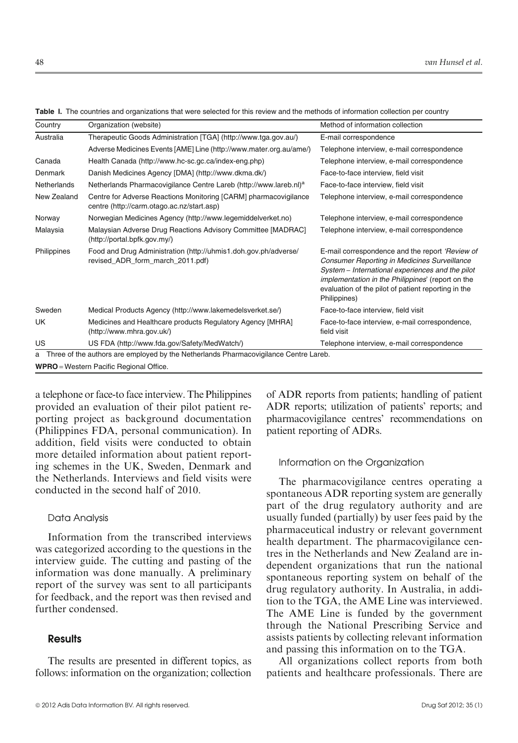| Country     | Organization (website)                                                                                         | Method of information collection                                                                                                                                                                                                                                                       |
|-------------|----------------------------------------------------------------------------------------------------------------|----------------------------------------------------------------------------------------------------------------------------------------------------------------------------------------------------------------------------------------------------------------------------------------|
| Australia   | Therapeutic Goods Administration [TGA] (http://www.tga.gov.au/)                                                | E-mail correspondence                                                                                                                                                                                                                                                                  |
|             | Adverse Medicines Events [AME] Line (http://www.mater.org.au/ame/)                                             | Telephone interview, e-mail correspondence                                                                                                                                                                                                                                             |
| Canada      | Health Canada (http://www.hc-sc.gc.ca/index-eng.php)                                                           | Telephone interview, e-mail correspondence                                                                                                                                                                                                                                             |
| Denmark     | Danish Medicines Agency [DMA] (http://www.dkma.dk/)                                                            | Face-to-face interview, field visit                                                                                                                                                                                                                                                    |
| Netherlands | Netherlands Pharmacovigilance Centre Lareb (http://www.lareb.nl) <sup>a</sup>                                  | Face-to-face interview, field visit                                                                                                                                                                                                                                                    |
| New Zealand | Centre for Adverse Reactions Monitoring [CARM] pharmacovigilance<br>centre (http://carm.otago.ac.nz/start.asp) | Telephone interview, e-mail correspondence                                                                                                                                                                                                                                             |
| Norway      | Norwegian Medicines Agency (http://www.legemiddelverket.no)                                                    | Telephone interview, e-mail correspondence                                                                                                                                                                                                                                             |
| Malaysia    | Malaysian Adverse Drug Reactions Advisory Committee [MADRAC]<br>(http://portal.bpfk.gov.my/)                   | Telephone interview, e-mail correspondence                                                                                                                                                                                                                                             |
| Philippines | Food and Drug Administration (http://uhmis1.doh.gov.ph/adverse/<br>revised_ADR_form_march_2011.pdf)            | E-mail correspondence and the report 'Review of<br><b>Consumer Reporting in Medicines Surveillance</b><br>System - International experiences and the pilot<br>implementation in the Philippines' (report on the<br>evaluation of the pilot of patient reporting in the<br>Philippines) |
| Sweden      | Medical Products Agency (http://www.lakemedelsverket.se/)                                                      | Face-to-face interview, field visit                                                                                                                                                                                                                                                    |
| <b>UK</b>   | Medicines and Healthcare products Regulatory Agency [MHRA]<br>(http://www.mhra.gov.uk/)                        | Face-to-face interview, e-mail correspondence,<br>field visit                                                                                                                                                                                                                          |
| US          | US FDA (http://www.fda.gov/Safety/MedWatch/)                                                                   | Telephone interview, e-mail correspondence                                                                                                                                                                                                                                             |
| a           | Three of the authors are employed by the Netherlands Pharmacovigilance Centre Lareb.                           |                                                                                                                                                                                                                                                                                        |
|             | <b>WPRO</b> = Western Pacific Regional Office.                                                                 |                                                                                                                                                                                                                                                                                        |

Table I. The countries and organizations that were selected for this review and the methods of information collection per country

a telephone or face-to face interview. The Philippines provided an evaluation of their pilot patient reporting project as background documentation (Philippines FDA, personal communication). In addition, field visits were conducted to obtain more detailed information about patient reporting schemes in the UK, Sweden, Denmark and the Netherlands. Interviews and field visits were conducted in the second half of 2010.

# Data Analysis

Information from the transcribed interviews was categorized according to the questions in the interview guide. The cutting and pasting of the information was done manually. A preliminary report of the survey was sent to all participants for feedback, and the report was then revised and further condensed.

# **Results**

The results are presented in different topics, as follows: information on the organization; collection of ADR reports from patients; handling of patient ADR reports; utilization of patients' reports; and pharmacovigilance centres' recommendations on patient reporting of ADRs.

# Information on the Organization

The pharmacovigilance centres operating a spontaneous ADR reporting system are generally part of the drug regulatory authority and are usually funded (partially) by user fees paid by the pharmaceutical industry or relevant government health department. The pharmacovigilance centres in the Netherlands and New Zealand are independent organizations that run the national spontaneous reporting system on behalf of the drug regulatory authority. In Australia, in addition to the TGA, the AME Line was interviewed. The AME Line is funded by the government through the National Prescribing Service and assists patients by collecting relevant information and passing this information on to the TGA.

All organizations collect reports from both patients and healthcare professionals. There are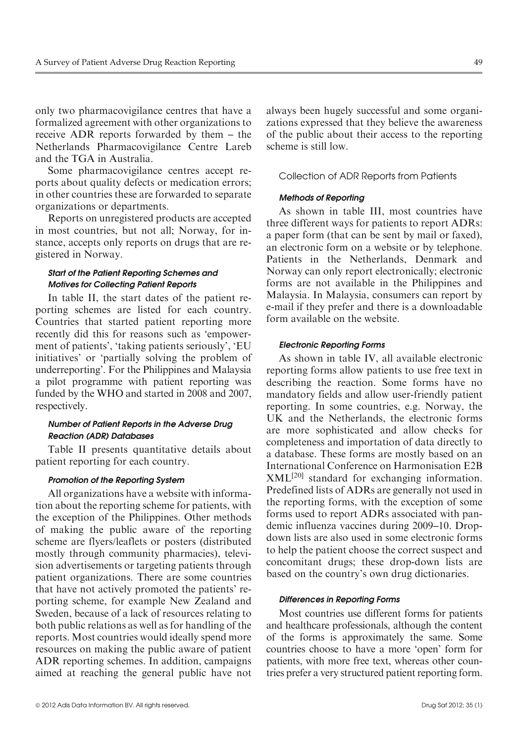only two pharmacovigilance centres that have a formalized agreement with other organizations to receive ADR reports forwarded by them – the Netherlands Pharmacovigilance Centre Lareb and the TGA in Australia.

Some pharmacovigilance centres accept reports about quality defects or medication errors; in other countries these are forwarded to separate organizations or departments.

Reports on unregistered products are accepted in most countries, but not all; Norway, for instance, accepts only reports on drugs that are registered in Norway.

#### Start of the Patient Reporting Schemes and Motives for Collecting Patient Reports

In table II, the start dates of the patient reporting schemes are listed for each country. Countries that started patient reporting more recently did this for reasons such as 'empowerment of patients', 'taking patients seriously', 'EU initiatives' or 'partially solving the problem of underreporting'. For the Philippines and Malaysia a pilot programme with patient reporting was funded by the WHO and started in 2008 and 2007, respectively.

# Number of Patient Reports in the Adverse Drug Reaction (ADR) Databases

Table II presents quantitative details about patient reporting for each country.

# Promotion of the Reporting System

All organizations have a website with information about the reporting scheme for patients, with the exception of the Philippines. Other methods of making the public aware of the reporting scheme are flyers/leaflets or posters (distributed mostly through community pharmacies), television advertisements or targeting patients through patient organizations. There are some countries that have not actively promoted the patients' reporting scheme, for example New Zealand and Sweden, because of a lack of resources relating to both public relations as well as for handling of the reports. Most countries would ideally spend more resources on making the public aware of patient ADR reporting schemes. In addition, campaigns aimed at reaching the general public have not

always been hugely successful and some organizations expressed that they believe the awareness of the public about their access to the reporting scheme is still low.

Collection of ADR Reports from Patients

#### Methods of Reporting

As shown in table III, most countries have three different ways for patients to report ADRs: a paper form (that can be sent by mail or faxed), an electronic form on a website or by telephone. Patients in the Netherlands, Denmark and Norway can only report electronically; electronic forms are not available in the Philippines and Malaysia. In Malaysia, consumers can report by e-mail if they prefer and there is a downloadable form available on the website.

#### Electronic Reporting Forms

As shown in table IV, all available electronic reporting forms allow patients to use free text in describing the reaction. Some forms have no mandatory fields and allow user-friendly patient reporting. In some countries, e.g. Norway, the UK and the Netherlands, the electronic forms are more sophisticated and allow checks for completeness and importation of data directly to a database. These forms are mostly based on an International Conference on Harmonisation E2B XML[20] standard for exchanging information. Predefined lists of ADRs are generally not used in the reporting forms, with the exception of some forms used to report ADRs associated with pandemic influenza vaccines during 2009–10. Dropdown lists are also used in some electronic forms to help the patient choose the correct suspect and concomitant drugs; these drop-down lists are based on the country's own drug dictionaries.

#### Differences in Reporting Forms

Most countries use different forms for patients and healthcare professionals, although the content of the forms is approximately the same. Some countries choose to have a more 'open' form for patients, with more free text, whereas other countries prefer a very structured patient reporting form.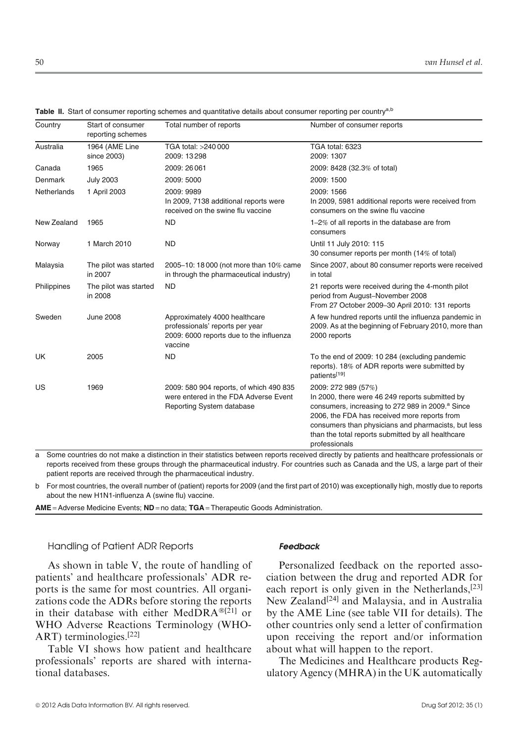| Country            | Start of consumer<br>reporting schemes | Total number of reports                                                                                                | Number of consumer reports                                                                                                                                                                                                                                                                                           |
|--------------------|----------------------------------------|------------------------------------------------------------------------------------------------------------------------|----------------------------------------------------------------------------------------------------------------------------------------------------------------------------------------------------------------------------------------------------------------------------------------------------------------------|
| Australia          | 1964 (AME Line<br>since 2003)          | TGA total: >240 000<br>2009: 13298                                                                                     | TGA total: 6323<br>2009: 1307                                                                                                                                                                                                                                                                                        |
| Canada             | 1965                                   | 2009: 26 061                                                                                                           | 2009: 8428 (32.3% of total)                                                                                                                                                                                                                                                                                          |
| Denmark            | <b>July 2003</b>                       | 2009: 5000                                                                                                             | 2009: 1500                                                                                                                                                                                                                                                                                                           |
| <b>Netherlands</b> | 1 April 2003                           | 2009: 9989<br>In 2009, 7138 additional reports were<br>received on the swine flu vaccine                               | 2009: 1566<br>In 2009, 5981 additional reports were received from<br>consumers on the swine flu vaccine                                                                                                                                                                                                              |
| New Zealand        | 1965                                   | <b>ND</b>                                                                                                              | 1-2% of all reports in the database are from<br>consumers                                                                                                                                                                                                                                                            |
| Norway             | 1 March 2010                           | <b>ND</b>                                                                                                              | Until 11 July 2010: 115<br>30 consumer reports per month (14% of total)                                                                                                                                                                                                                                              |
| Malaysia           | The pilot was started<br>in 2007       | 2005-10: 18 000 (not more than 10% came<br>in through the pharmaceutical industry)                                     | Since 2007, about 80 consumer reports were received<br>in total                                                                                                                                                                                                                                                      |
| Philippines        | The pilot was started<br>in 2008       | <b>ND</b>                                                                                                              | 21 reports were received during the 4-month pilot<br>period from August-November 2008<br>From 27 October 2009-30 April 2010: 131 reports                                                                                                                                                                             |
| Sweden             | <b>June 2008</b>                       | Approximately 4000 healthcare<br>professionals' reports per year<br>2009: 6000 reports due to the influenza<br>vaccine | A few hundred reports until the influenza pandemic in<br>2009. As at the beginning of February 2010, more than<br>2000 reports                                                                                                                                                                                       |
| <b>UK</b>          | 2005                                   | <b>ND</b>                                                                                                              | To the end of 2009: 10 284 (excluding pandemic<br>reports). 18% of ADR reports were submitted by<br>patients[19]                                                                                                                                                                                                     |
| US                 | 1969                                   | 2009: 580 904 reports, of which 490 835<br>were entered in the FDA Adverse Event<br>Reporting System database          | 2009: 272 989 (57%)<br>In 2000, there were 46 249 reports submitted by<br>consumers, increasing to 272 989 in 2009. <sup>8</sup> Since<br>2006, the FDA has received more reports from<br>consumers than physicians and pharmacists, but less<br>than the total reports submitted by all healthcare<br>professionals |

Table II. Start of consumer reporting schemes and quantitative details about consumer reporting per country<sup>a,b</sup>

a Some countries do not make a distinction in their statistics between reports received directly by patients and healthcare professionals or reports received from these groups through the pharmaceutical industry. For countries such as Canada and the US, a large part of their patient reports are received through the pharmaceutical industry.

b For most countries, the overall number of (patient) reports for 2009 (and the first part of 2010) was exceptionally high, mostly due to reports about the new H1N1-influenza A (swine flu) vaccine.

AME =Adverse Medicine Events; ND = no data; TGA = Therapeutic Goods Administration.

# Handling of Patient ADR Reports

As shown in table V, the route of handling of patients' and healthcare professionals' ADR reports is the same for most countries. All organizations code the ADRs before storing the reports in their database with either MedDRA®[21] or WHO Adverse Reactions Terminology (WHO-ART) terminologies.[22]

Table VI shows how patient and healthcare professionals' reports are shared with international databases.

#### Feedback

Personalized feedback on the reported association between the drug and reported ADR for each report is only given in the Netherlands,<sup>[23]</sup> New Zealand<sup>[24]</sup> and Malaysia, and in Australia by the AME Line (see table VII for details). The other countries only send a letter of confirmation upon receiving the report and/or information about what will happen to the report.

The Medicines and Healthcare products Regulatory Agency (MHRA) in the UK automatically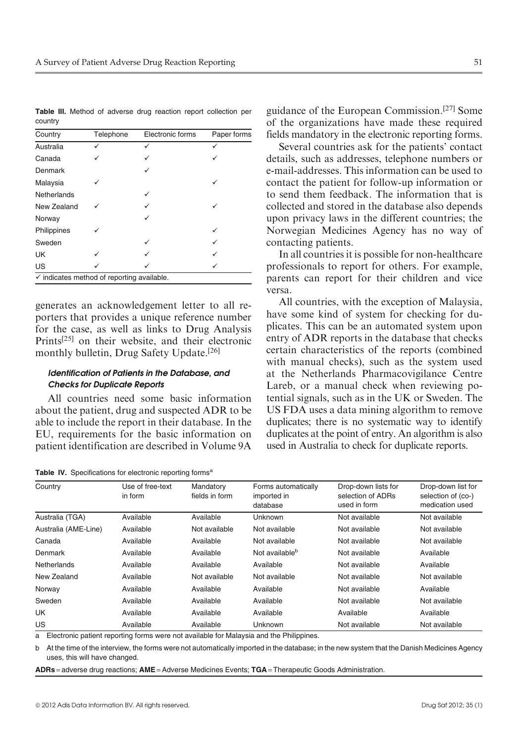Table III. Method of adverse drug reaction report collection per country

| Country                                               | Telephone | Electronic forms | Paper forms |  |
|-------------------------------------------------------|-----------|------------------|-------------|--|
| Australia                                             |           |                  |             |  |
| Canada                                                |           |                  |             |  |
| Denmark                                               |           | ✓                |             |  |
| Malaysia                                              |           |                  |             |  |
| Netherlands                                           |           |                  |             |  |
| New Zealand                                           |           |                  |             |  |
| Norway                                                |           |                  |             |  |
| Philippines                                           |           |                  |             |  |
| Sweden                                                |           |                  |             |  |
| UK                                                    |           |                  |             |  |
| US                                                    |           |                  |             |  |
| $\checkmark$ indicates method of reporting available. |           |                  |             |  |

generates an acknowledgement letter to all reporters that provides a unique reference number for the case, as well as links to Drug Analysis Prints[25] on their website, and their electronic monthly bulletin, Drug Safety Update.<sup>[26]</sup>

#### Identification of Patients in the Database, and Checks for Duplicate Reports

All countries need some basic information about the patient, drug and suspected ADR to be able to include the report in their database. In the EU, requirements for the basic information on patient identification are described in Volume 9A

Table IV. Specifications for electronic reporting forms<sup>a</sup>

guidance of the European Commission.[27] Some of the organizations have made these required fields mandatory in the electronic reporting forms.

Several countries ask for the patients' contact details, such as addresses, telephone numbers or e-mail-addresses. This information can be used to contact the patient for follow-up information or to send them feedback. The information that is collected and stored in the database also depends upon privacy laws in the different countries; the Norwegian Medicines Agency has no way of contacting patients.

In all countries it is possible for non-healthcare professionals to report for others. For example, parents can report for their children and vice versa.

All countries, with the exception of Malaysia, have some kind of system for checking for duplicates. This can be an automated system upon entry of ADR reports in the database that checks certain characteristics of the reports (combined with manual checks), such as the system used at the Netherlands Pharmacovigilance Centre Lareb, or a manual check when reviewing potential signals, such as in the UK or Sweden. The US FDA uses a data mining algorithm to remove duplicates; there is no systematic way to identify duplicates at the point of entry. An algorithm is also used in Australia to check for duplicate reports.

| Country              | Use of free-text<br>in form | Mandatory<br>fields in form | Forms automatically<br>imported in<br>database | Drop-down lists for<br>selection of ADRs<br>used in form | Drop-down list for<br>selection of (co-)<br>medication used |
|----------------------|-----------------------------|-----------------------------|------------------------------------------------|----------------------------------------------------------|-------------------------------------------------------------|
| Australia (TGA)      | Available                   | Available                   | <b>Unknown</b>                                 | Not available                                            | Not available                                               |
| Australia (AME-Line) | Available                   | Not available               | Not available                                  | Not available                                            | Not available                                               |
| Canada               | Available                   | Available                   | Not available                                  | Not available                                            | Not available                                               |
| Denmark              | Available                   | Available                   | Not available <sup>b</sup>                     | Not available                                            | Available                                                   |
| Netherlands          | Available                   | Available                   | Available                                      | Not available                                            | Available                                                   |
| New Zealand          | Available                   | Not available               | Not available                                  | Not available                                            | Not available                                               |
| Norway               | Available                   | Available                   | Available                                      | Not available                                            | Available                                                   |
| Sweden               | Available                   | Available                   | Available                                      | Not available                                            | Not available                                               |
| UK.                  | Available                   | Available                   | Available                                      | Available                                                | Available                                                   |
| US                   | Available                   | Available                   | Unknown                                        | Not available                                            | Not available                                               |

a Electronic patient reporting forms were not available for Malaysia and the Philippines.

b At the time of the interview, the forms were not automatically imported in the database; in the new system that the Danish Medicines Agency uses, this will have changed.

ADRs = adverse drug reactions; AME = Adverse Medicines Events; TGA = Therapeutic Goods Administration.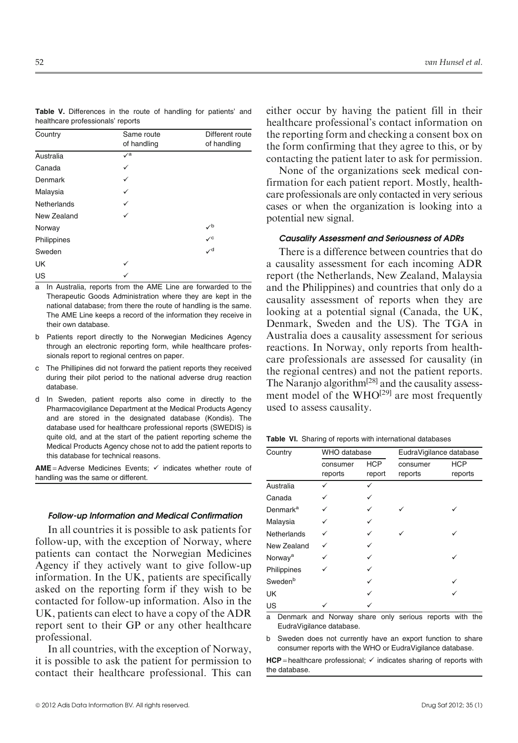Table V. Differences in the route of handling for patients' and healthcare professionals' reports

| Country     | Same route<br>of handling | Different route<br>of handling |
|-------------|---------------------------|--------------------------------|
| Australia   | $\mathcal{V}^a$           |                                |
| Canada      | ✓                         |                                |
| Denmark     | ✓                         |                                |
| Malaysia    | ✓                         |                                |
| Netherlands |                           |                                |
| New Zealand | ✓                         |                                |
| Norway      |                           | $\checkmark$                   |
| Philippines |                           | $\checkmark$ <sup>c</sup>      |
| Sweden      |                           | $\mathcal{V}^{\text{d}}$       |
| UK          | ✓                         |                                |
| US          |                           |                                |

a In Australia, reports from the AME Line are forwarded to the Therapeutic Goods Administration where they are kept in the national database; from there the route of handling is the same. The AME Line keeps a record of the information they receive in their own database.

- b Patients report directly to the Norwegian Medicines Agency through an electronic reporting form, while healthcare professionals report to regional centres on paper.
- c The Phillipines did not forward the patient reports they received during their pilot period to the national adverse drug reaction database.
- d In Sweden, patient reports also come in directly to the Pharmacovigilance Department at the Medical Products Agency and are stored in the designated database (Kondis). The database used for healthcare professional reports (SWEDIS) is quite old, and at the start of the patient reporting scheme the Medical Products Agency chose not to add the patient reports to this database for technical reasons.

 $AME =$  Adverse Medicines Events;  $\checkmark$  indicates whether route of handling was the same or different.

#### Follow-up Information and Medical Confirmation

In all countries it is possible to ask patients for follow-up, with the exception of Norway, where patients can contact the Norwegian Medicines Agency if they actively want to give follow-up information. In the UK, patients are specifically asked on the reporting form if they wish to be contacted for follow-up information. Also in the UK, patients can elect to have a copy of the ADR report sent to their GP or any other healthcare professional.

In all countries, with the exception of Norway, it is possible to ask the patient for permission to contact their healthcare professional. This can either occur by having the patient fill in their healthcare professional's contact information on the reporting form and checking a consent box on the form confirming that they agree to this, or by contacting the patient later to ask for permission.

None of the organizations seek medical confirmation for each patient report. Mostly, healthcare professionals are only contacted in very serious cases or when the organization is looking into a potential new signal.

### Causality Assessment and Seriousness of ADRs

There is a difference between countries that do a causality assessment for each incoming ADR report (the Netherlands, New Zealand, Malaysia and the Philippines) and countries that only do a causality assessment of reports when they are looking at a potential signal (Canada, the UK, Denmark, Sweden and the US). The TGA in Australia does a causality assessment for serious reactions. In Norway, only reports from healthcare professionals are assessed for causality (in the regional centres) and not the patient reports. The Naranjo algorithm $^{[28]}$  and the causality assessment model of the WHO<sup>[29]</sup> are most frequently used to assess causality.

| Table VI. Sharing of reports with international databases |  |
|-----------------------------------------------------------|--|
|-----------------------------------------------------------|--|

| Country              | WHO database |            | EudraVigilance database |            |
|----------------------|--------------|------------|-------------------------|------------|
|                      | consumer     | <b>HCP</b> | consumer                | <b>HCP</b> |
|                      | reports      | report     | reports                 | reports    |
| Australia            |              |            |                         |            |
| Canada               |              |            |                         |            |
| Denmark <sup>a</sup> |              |            |                         |            |
| Malaysia             |              |            |                         |            |
| Netherlands          |              |            |                         |            |
| New Zealand          |              |            |                         |            |
| Norway <sup>a</sup>  |              |            |                         |            |
| Philippines          |              |            |                         |            |
| Sweden <sup>b</sup>  |              |            |                         |            |
| UK                   |              |            |                         |            |
| US                   |              |            |                         |            |

a Denmark and Norway share only serious reports with the EudraVigilance database.

b Sweden does not currently have an export function to share consumer reports with the WHO or EudraVigilance database.

 $HCP$  = healthcare professional;  $\checkmark$  indicates sharing of reports with the database.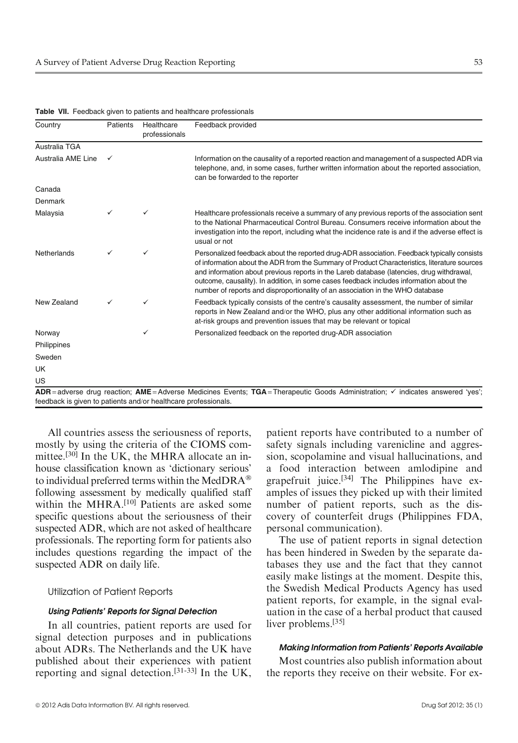| Country            | Patients     | Healthcare<br>professionals | Feedback provided                                                                                                                                                                                                                                                                                                                                                                                                                                                    |
|--------------------|--------------|-----------------------------|----------------------------------------------------------------------------------------------------------------------------------------------------------------------------------------------------------------------------------------------------------------------------------------------------------------------------------------------------------------------------------------------------------------------------------------------------------------------|
| Australia TGA      |              |                             |                                                                                                                                                                                                                                                                                                                                                                                                                                                                      |
| Australia AME Line | $\checkmark$ |                             | Information on the causality of a reported reaction and management of a suspected ADR via<br>telephone, and, in some cases, further written information about the reported association,<br>can be forwarded to the reporter                                                                                                                                                                                                                                          |
| Canada             |              |                             |                                                                                                                                                                                                                                                                                                                                                                                                                                                                      |
| Denmark            |              |                             |                                                                                                                                                                                                                                                                                                                                                                                                                                                                      |
| Malaysia           | ✓            | ✓                           | Healthcare professionals receive a summary of any previous reports of the association sent<br>to the National Pharmaceutical Control Bureau. Consumers receive information about the<br>investigation into the report, including what the incidence rate is and if the adverse effect is<br>usual or not                                                                                                                                                             |
| Netherlands        |              |                             | Personalized feedback about the reported drug-ADR association. Feedback typically consists<br>of information about the ADR from the Summary of Product Characteristics, literature sources<br>and information about previous reports in the Lareb database (latencies, drug withdrawal,<br>outcome, causality). In addition, in some cases feedback includes information about the<br>number of reports and disproportionality of an association in the WHO database |
| New Zealand        |              |                             | Feedback typically consists of the centre's causality assessment, the number of similar<br>reports in New Zealand and/or the WHO, plus any other additional information such as<br>at-risk groups and prevention issues that may be relevant or topical                                                                                                                                                                                                              |
| Norway             |              | ✓                           | Personalized feedback on the reported drug-ADR association                                                                                                                                                                                                                                                                                                                                                                                                           |
| Philippines        |              |                             |                                                                                                                                                                                                                                                                                                                                                                                                                                                                      |
| Sweden             |              |                             |                                                                                                                                                                                                                                                                                                                                                                                                                                                                      |
| <b>UK</b>          |              |                             |                                                                                                                                                                                                                                                                                                                                                                                                                                                                      |
| US                 |              |                             |                                                                                                                                                                                                                                                                                                                                                                                                                                                                      |

Table VII. Feedback given to patients and healthcare professionals

All countries assess the seriousness of reports, mostly by using the criteria of the CIOMS committee.[30] In the UK, the MHRA allocate an inhouse classification known as 'dictionary serious' to individual preferred terms within the MedDRA<sup>®</sup> following assessment by medically qualified staff within the MHRA.<sup>[10]</sup> Patients are asked some specific questions about the seriousness of their suspected ADR, which are not asked of healthcare professionals. The reporting form for patients also includes questions regarding the impact of the suspected ADR on daily life.

#### Utilization of Patient Reports

#### Using Patients' Reports for Signal Detection

In all countries, patient reports are used for signal detection purposes and in publications about ADRs. The Netherlands and the UK have published about their experiences with patient reporting and signal detection.<sup>[31-33]</sup> In the UK, patient reports have contributed to a number of safety signals including varenicline and aggression, scopolamine and visual hallucinations, and a food interaction between amlodipine and grapefruit juice.<sup>[34]</sup> The Philippines have examples of issues they picked up with their limited number of patient reports, such as the discovery of counterfeit drugs (Philippines FDA, personal communication).

The use of patient reports in signal detection has been hindered in Sweden by the separate databases they use and the fact that they cannot easily make listings at the moment. Despite this, the Swedish Medical Products Agency has used patient reports, for example, in the signal evaluation in the case of a herbal product that caused liver problems.[35]

#### Making Information from Patients' Reports Available

Most countries also publish information about the reports they receive on their website. For ex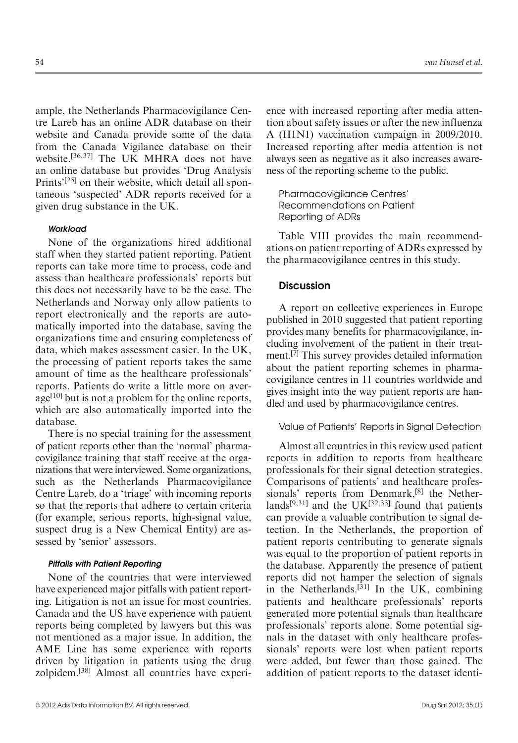ample, the Netherlands Pharmacovigilance Centre Lareb has an online ADR database on their website and Canada provide some of the data from the Canada Vigilance database on their website.[36,37] The UK MHRA does not have an online database but provides 'Drug Analysis Prints'<sup> $[25]$ </sup> on their website, which detail all spontaneous 'suspected' ADR reports received for a given drug substance in the UK.

#### **Workload**

None of the organizations hired additional staff when they started patient reporting. Patient reports can take more time to process, code and assess than healthcare professionals' reports but this does not necessarily have to be the case. The Netherlands and Norway only allow patients to report electronically and the reports are automatically imported into the database, saving the organizations time and ensuring completeness of data, which makes assessment easier. In the UK, the processing of patient reports takes the same amount of time as the healthcare professionals' reports. Patients do write a little more on average<sup>[10]</sup> but is not a problem for the online reports, which are also automatically imported into the database.

There is no special training for the assessment of patient reports other than the 'normal' pharmacovigilance training that staff receive at the organizations that were interviewed. Some organizations, such as the Netherlands Pharmacovigilance Centre Lareb, do a 'triage' with incoming reports so that the reports that adhere to certain criteria (for example, serious reports, high-signal value, suspect drug is a New Chemical Entity) are assessed by 'senior' assessors.

#### Pitfalls with Patient Reporting

None of the countries that were interviewed have experienced major pitfalls with patient reporting. Litigation is not an issue for most countries. Canada and the US have experience with patient reports being completed by lawyers but this was not mentioned as a major issue. In addition, the AME Line has some experience with reports driven by litigation in patients using the drug zolpidem.[38] Almost all countries have experience with increased reporting after media attention about safety issues or after the new influenza A (H1N1) vaccination campaign in 2009/2010. Increased reporting after media attention is not always seen as negative as it also increases awareness of the reporting scheme to the public.

Pharmacovigilance Centres' Recommendations on Patient Reporting of ADRs

Table VIII provides the main recommendations on patient reporting of ADRs expressed by the pharmacovigilance centres in this study.

# **Discussion**

A report on collective experiences in Europe published in 2010 suggested that patient reporting provides many benefits for pharmacovigilance, including involvement of the patient in their treatment.[7] This survey provides detailed information about the patient reporting schemes in pharmacovigilance centres in 11 countries worldwide and gives insight into the way patient reports are handled and used by pharmacovigilance centres.

Value of Patients' Reports in Signal Detection

Almost all countries in this review used patient reports in addition to reports from healthcare professionals for their signal detection strategies. Comparisons of patients' and healthcare professionals' reports from Denmark,<sup>[8]</sup> the Netherlands<sup>[9,31]</sup> and the UK<sup>[32,33]</sup> found that patients can provide a valuable contribution to signal detection. In the Netherlands, the proportion of patient reports contributing to generate signals was equal to the proportion of patient reports in the database. Apparently the presence of patient reports did not hamper the selection of signals in the Netherlands.<sup>[31]</sup> In the UK, combining patients and healthcare professionals' reports generated more potential signals than healthcare professionals' reports alone. Some potential signals in the dataset with only healthcare professionals' reports were lost when patient reports were added, but fewer than those gained. The addition of patient reports to the dataset identi-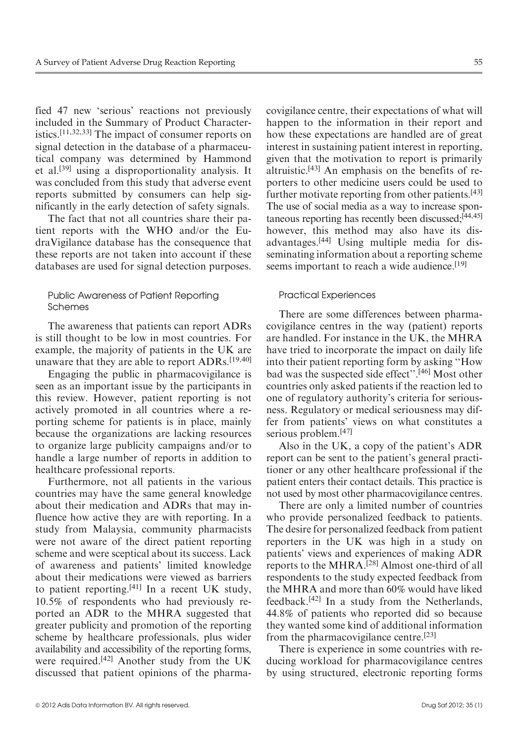fied 47 new 'serious' reactions not previously included in the Summary of Product Characteristics.[11,32,33] The impact of consumer reports on signal detection in the database of a pharmaceutical company was determined by Hammond et al.[39] using a disproportionality analysis. It was concluded from this study that adverse event reports submitted by consumers can help significantly in the early detection of safety signals.

The fact that not all countries share their patient reports with the WHO and/or the EudraVigilance database has the consequence that these reports are not taken into account if these databases are used for signal detection purposes.

### Public Awareness of Patient Reporting Schemes

The awareness that patients can report ADRs is still thought to be low in most countries. For example, the majority of patients in the UK are unaware that they are able to report ADRs.[19,40]

Engaging the public in pharmacovigilance is seen as an important issue by the participants in this review. However, patient reporting is not actively promoted in all countries where a reporting scheme for patients is in place, mainly because the organizations are lacking resources to organize large publicity campaigns and/or to handle a large number of reports in addition to healthcare professional reports.

Furthermore, not all patients in the various countries may have the same general knowledge about their medication and ADRs that may influence how active they are with reporting. In a study from Malaysia, community pharmacists were not aware of the direct patient reporting scheme and were sceptical about its success. Lack of awareness and patients' limited knowledge about their medications were viewed as barriers to patient reporting.<sup>[41]</sup> In a recent UK study, 10.5% of respondents who had previously reported an ADR to the MHRA suggested that greater publicity and promotion of the reporting scheme by healthcare professionals, plus wider availability and accessibility of the reporting forms, were required.[42] Another study from the UK discussed that patient opinions of the pharmacovigilance centre, their expectations of what will happen to the information in their report and how these expectations are handled are of great interest in sustaining patient interest in reporting, given that the motivation to report is primarily altruistic.[43] An emphasis on the benefits of reporters to other medicine users could be used to further motivate reporting from other patients.[43] The use of social media as a way to increase spontaneous reporting has recently been discussed;[44,45] however, this method may also have its disadvantages.[44] Using multiple media for disseminating information about a reporting scheme seems important to reach a wide audience.<sup>[19]</sup>

#### Practical Experiences

There are some differences between pharmacovigilance centres in the way (patient) reports are handled. For instance in the UK, the MHRA have tried to incorporate the impact on daily life into their patient reporting form by asking ''How bad was the suspected side effect''.[46] Most other countries only asked patients if the reaction led to one of regulatory authority's criteria for seriousness. Regulatory or medical seriousness may differ from patients' views on what constitutes a serious problem.[47]

Also in the UK, a copy of the patient's ADR report can be sent to the patient's general practitioner or any other healthcare professional if the patient enters their contact details. This practice is not used by most other pharmacovigilance centres.

There are only a limited number of countries who provide personalized feedback to patients. The desire for personalized feedback from patient reporters in the UK was high in a study on patients' views and experiences of making ADR reports to the MHRA.[28] Almost one-third of all respondents to the study expected feedback from the MHRA and more than 60% would have liked feedback.[42] In a study from the Netherlands, 44.8% of patients who reported did so because they wanted some kind of additional information from the pharmacovigilance centre.<sup>[23]</sup>

There is experience in some countries with reducing workload for pharmacovigilance centres by using structured, electronic reporting forms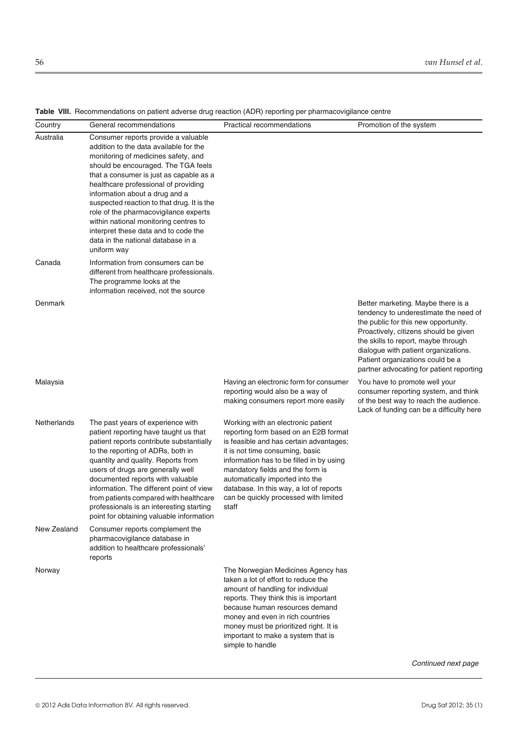| Country     | General recommendations                                                                                                                                                                                                                                                                                                                                                                                                                                                                                       | Practical recommendations                                                                                                                                                                                                                                                                                                                                                 | Promotion of the system                                                                                                                                                                                                                                                                                                     |
|-------------|---------------------------------------------------------------------------------------------------------------------------------------------------------------------------------------------------------------------------------------------------------------------------------------------------------------------------------------------------------------------------------------------------------------------------------------------------------------------------------------------------------------|---------------------------------------------------------------------------------------------------------------------------------------------------------------------------------------------------------------------------------------------------------------------------------------------------------------------------------------------------------------------------|-----------------------------------------------------------------------------------------------------------------------------------------------------------------------------------------------------------------------------------------------------------------------------------------------------------------------------|
| Australia   | Consumer reports provide a valuable<br>addition to the data available for the<br>monitoring of medicines safety, and<br>should be encouraged. The TGA feels<br>that a consumer is just as capable as a<br>healthcare professional of providing<br>information about a drug and a<br>suspected reaction to that drug. It is the<br>role of the pharmacovigilance experts<br>within national monitoring centres to<br>interpret these data and to code the<br>data in the national database in a<br>uniform way |                                                                                                                                                                                                                                                                                                                                                                           |                                                                                                                                                                                                                                                                                                                             |
| Canada      | Information from consumers can be<br>different from healthcare professionals.<br>The programme looks at the<br>information received, not the source                                                                                                                                                                                                                                                                                                                                                           |                                                                                                                                                                                                                                                                                                                                                                           |                                                                                                                                                                                                                                                                                                                             |
| Denmark     |                                                                                                                                                                                                                                                                                                                                                                                                                                                                                                               |                                                                                                                                                                                                                                                                                                                                                                           | Better marketing. Maybe there is a<br>tendency to underestimate the need of<br>the public for this new opportunity.<br>Proactively, citizens should be given<br>the skills to report, maybe through<br>dialogue with patient organizations.<br>Patient organizations could be a<br>partner advocating for patient reporting |
| Malaysia    |                                                                                                                                                                                                                                                                                                                                                                                                                                                                                                               | Having an electronic form for consumer<br>reporting would also be a way of<br>making consumers report more easily                                                                                                                                                                                                                                                         | You have to promote well your<br>consumer reporting system, and think<br>of the best way to reach the audience.<br>Lack of funding can be a difficulty here                                                                                                                                                                 |
| Netherlands | The past years of experience with<br>patient reporting have taught us that<br>patient reports contribute substantially<br>to the reporting of ADRs, both in<br>quantity and quality. Reports from<br>users of drugs are generally well<br>documented reports with valuable<br>information. The different point of view<br>from patients compared with healthcare<br>professionals is an interesting starting<br>point for obtaining valuable information                                                      | Working with an electronic patient<br>reporting form based on an E2B format<br>is feasible and has certain advantages;<br>it is not time consuming, basic<br>information has to be filled in by using<br>mandatory fields and the form is<br>automatically imported into the<br>database. In this way, a lot of reports<br>can be quickly processed with limited<br>staff |                                                                                                                                                                                                                                                                                                                             |
| New Zealand | Consumer reports complement the<br>pharmacovigilance database in<br>addition to healthcare professionals'<br>reports                                                                                                                                                                                                                                                                                                                                                                                          |                                                                                                                                                                                                                                                                                                                                                                           |                                                                                                                                                                                                                                                                                                                             |
| Norway      |                                                                                                                                                                                                                                                                                                                                                                                                                                                                                                               | The Norwegian Medicines Agency has<br>taken a lot of effort to reduce the<br>amount of handling for individual<br>reports. They think this is important<br>because human resources demand<br>money and even in rich countries<br>money must be prioritized right. It is<br>important to make a system that is<br>simple to handle                                         |                                                                                                                                                                                                                                                                                                                             |

Table VIII. Recommendations on patient adverse drug reaction (ADR) reporting per pharmacovigilance centre

Continued next page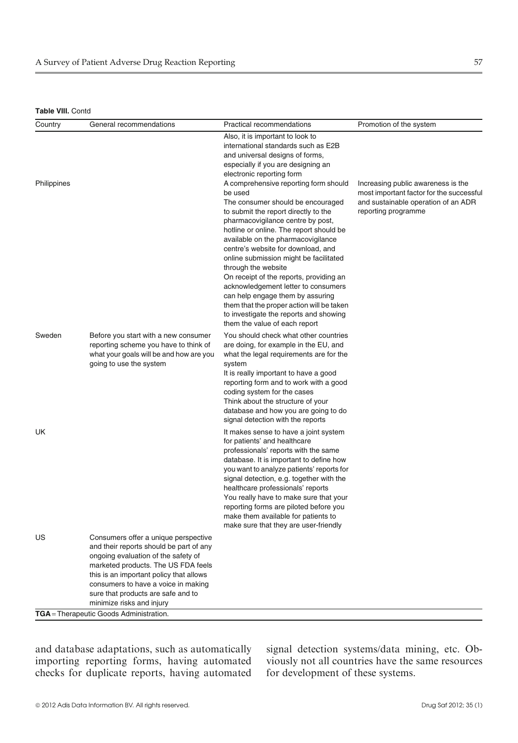| Table VIII, Contd |  |  |
|-------------------|--|--|
|-------------------|--|--|

| Country     | General recommendations                                                                                                                                                                                                                                                                                                                                       | Practical recommendations                                                                                                                                                                                                                                                                                                                                                                                                                                                                                                                                                                                | Promotion of the system                                                                                                                      |
|-------------|---------------------------------------------------------------------------------------------------------------------------------------------------------------------------------------------------------------------------------------------------------------------------------------------------------------------------------------------------------------|----------------------------------------------------------------------------------------------------------------------------------------------------------------------------------------------------------------------------------------------------------------------------------------------------------------------------------------------------------------------------------------------------------------------------------------------------------------------------------------------------------------------------------------------------------------------------------------------------------|----------------------------------------------------------------------------------------------------------------------------------------------|
|             |                                                                                                                                                                                                                                                                                                                                                               | Also, it is important to look to<br>international standards such as E2B<br>and universal designs of forms,<br>especially if you are designing an<br>electronic reporting form                                                                                                                                                                                                                                                                                                                                                                                                                            |                                                                                                                                              |
| Philippines |                                                                                                                                                                                                                                                                                                                                                               | A comprehensive reporting form should<br>be used<br>The consumer should be encouraged<br>to submit the report directly to the<br>pharmacovigilance centre by post,<br>hotline or online. The report should be<br>available on the pharmacovigilance<br>centre's website for download, and<br>online submission might be facilitated<br>through the website<br>On receipt of the reports, providing an<br>acknowledgement letter to consumers<br>can help engage them by assuring<br>them that the proper action will be taken<br>to investigate the reports and showing<br>them the value of each report | Increasing public awareness is the<br>most important factor for the successful<br>and sustainable operation of an ADR<br>reporting programme |
| Sweden      | Before you start with a new consumer<br>reporting scheme you have to think of<br>what your goals will be and how are you<br>going to use the system                                                                                                                                                                                                           | You should check what other countries<br>are doing, for example in the EU, and<br>what the legal requirements are for the<br>system<br>It is really important to have a good<br>reporting form and to work with a good<br>coding system for the cases<br>Think about the structure of your<br>database and how you are going to do<br>signal detection with the reports                                                                                                                                                                                                                                  |                                                                                                                                              |
| UK          |                                                                                                                                                                                                                                                                                                                                                               | It makes sense to have a joint system<br>for patients' and healthcare<br>professionals' reports with the same<br>database. It is important to define how<br>you want to analyze patients' reports for<br>signal detection, e.g. together with the<br>healthcare professionals' reports<br>You really have to make sure that your<br>reporting forms are piloted before you<br>make them available for patients to<br>make sure that they are user-friendly                                                                                                                                               |                                                                                                                                              |
| US          | Consumers offer a unique perspective<br>and their reports should be part of any<br>ongoing evaluation of the safety of<br>marketed products. The US FDA feels<br>this is an important policy that allows<br>consumers to have a voice in making<br>sure that products are safe and to<br>minimize risks and injury<br>TGA = Therapeutic Goods Administration. |                                                                                                                                                                                                                                                                                                                                                                                                                                                                                                                                                                                                          |                                                                                                                                              |

and database adaptations, such as automatically importing reporting forms, having automated checks for duplicate reports, having automated signal detection systems/data mining, etc. Obviously not all countries have the same resources for development of these systems.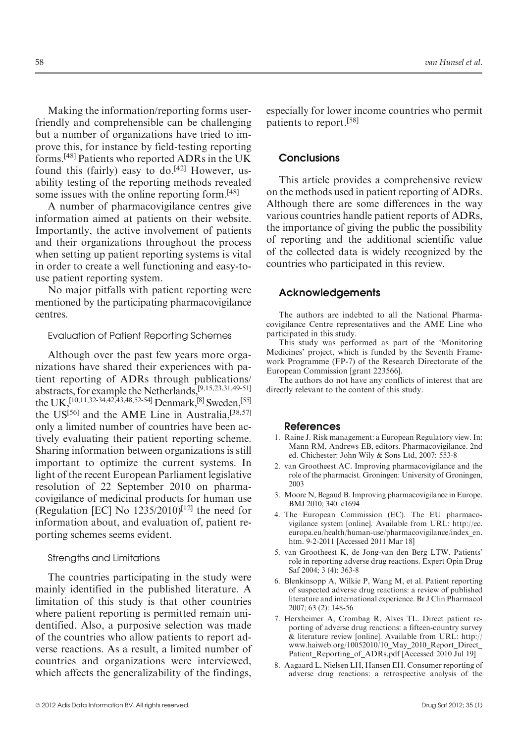Making the information/reporting forms userfriendly and comprehensible can be challenging but a number of organizations have tried to improve this, for instance by field-testing reporting forms.[48] Patients who reported ADRs in the UK found this (fairly) easy to  $\phi$ <sub>142</sub>] However, usability testing of the reporting methods revealed some issues with the online reporting form.[48]

A number of pharmacovigilance centres give information aimed at patients on their website. Importantly, the active involvement of patients and their organizations throughout the process when setting up patient reporting systems is vital in order to create a well functioning and easy-touse patient reporting system.

No major pitfalls with patient reporting were mentioned by the participating pharmacovigilance centres.

#### Evaluation of Patient Reporting Schemes

Although over the past few years more organizations have shared their experiences with patient reporting of ADRs through publications/ abstracts, for example the Netherlands,[9,15,23,31,49-51] the UK,<sup>[10,11,32-34,42,43,48,52-54]</sup> Denmark,<sup>[8]</sup> Sweden,<sup>[55]</sup> the US<sup>[56]</sup> and the AME Line in Australia.<sup>[38,57]</sup> only a limited number of countries have been actively evaluating their patient reporting scheme. Sharing information between organizations is still important to optimize the current systems. In light of the recent European Parliament legislative resolution of 22 September 2010 on pharmacovigilance of medicinal products for human use (Regulation [EC] No  $1235/2010$ <sup>[12]</sup> the need for information about, and evaluation of, patient reporting schemes seems evident.

#### Strengths and Limitations

The countries participating in the study were mainly identified in the published literature. A limitation of this study is that other countries where patient reporting is permitted remain unidentified. Also, a purposive selection was made of the countries who allow patients to report adverse reactions. As a result, a limited number of countries and organizations were interviewed, which affects the generalizability of the findings,

especially for lower income countries who permit patients to report.[58]

#### **Conclusions**

This article provides a comprehensive review on the methods used in patient reporting of ADRs. Although there are some differences in the way various countries handle patient reports of ADRs, the importance of giving the public the possibility of reporting and the additional scientific value of the collected data is widely recognized by the countries who participated in this review.

### Acknowledgements

The authors are indebted to all the National Pharmacovigilance Centre representatives and the AME Line who participated in this study.

This study was performed as part of the 'Monitoring Medicines' project, which is funded by the Seventh Framework Programme (FP-7) of the Research Directorate of the European Commission [grant 223566].

The authors do not have any conflicts of interest that are directly relevant to the content of this study.

#### References

- 1. Raine J. Risk management: a European Regulatory view. In: Mann RM, Andrews EB, editors. Pharmacovigilance. 2nd ed. Chichester: John Wily & Sons Ltd, 2007: 553-8
- 2. van Grootheest AC. Improving pharmacovigilance and the role of the pharmacist. Groningen: University of Groningen, 2003
- 3. Moore N, Begaud B. Improving pharmacovigilance in Europe. BMJ 2010; 340: c1694
- 4. The European Commission (EC). The EU pharmacovigilance system [online]. Available from URL: http://ec. europa.eu/health/human-use/pharmacovigilance/index\_en. htm. 9-2-2011 [Accessed 2011 Mar 18]
- 5. van Grootheest K, de Jong-van den Berg LTW. Patients' role in reporting adverse drug reactions. Expert Opin Drug Saf 2004; 3 (4): 363-8
- 6. Blenkinsopp A, Wilkie P, Wang M, et al. Patient reporting of suspected adverse drug reactions: a review of published literature and international experience. Br J Clin Pharmacol 2007; 63 (2): 148-56
- 7. Herxheimer A, Crombag R, Alves TL. Direct patient reporting of adverse drug reactions: a fifteen-country survey & literature review [online]. Available from URL: http:// www.haiweb.org/10052010/10\_May\_2010\_Report\_Direct\_ Patient\_Reporting\_of\_ADRs.pdf [Accessed 2010 Jul 19]
- 8. Aagaard L, Nielsen LH, Hansen EH. Consumer reporting of adverse drug reactions: a retrospective analysis of the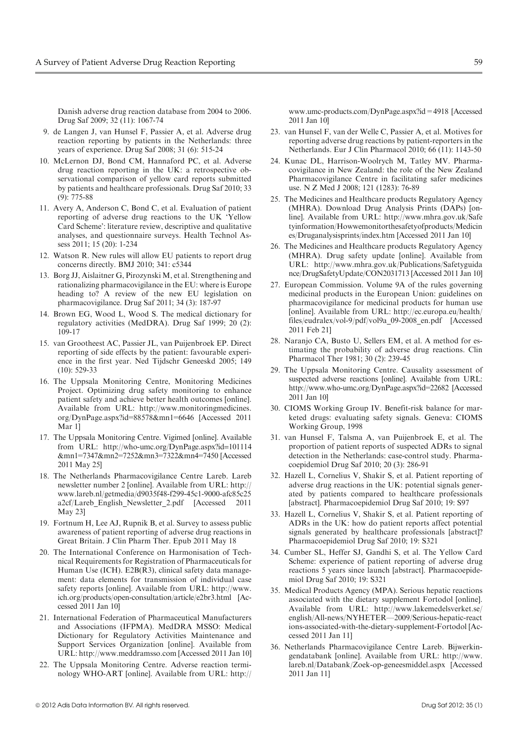Danish adverse drug reaction database from 2004 to 2006. Drug Saf 2009; 32 (11): 1067-74

- 9. de Langen J, van Hunsel F, Passier A, et al. Adverse drug reaction reporting by patients in the Netherlands: three years of experience. Drug Saf 2008; 31 (6): 515-24
- 10. McLernon DJ, Bond CM, Hannaford PC, et al. Adverse drug reaction reporting in the UK: a retrospective observational comparison of yellow card reports submitted by patients and healthcare professionals. Drug Saf 2010; 33 (9): 775-88
- 11. Avery A, Anderson C, Bond C, et al. Evaluation of patient reporting of adverse drug reactions to the UK 'Yellow Card Scheme': literature review, descriptive and qualitative analyses, and questionnaire surveys. Health Technol Assess 2011; 15 (20): 1-234
- 12. Watson R. New rules will allow EU patients to report drug concerns directly. BMJ 2010; 341: c5344
- 13. Borg JJ, Aislaitner G, Pirozynski M, et al. Strengthening and rationalizing pharmacovigilance in the EU: where is Europe heading to? A review of the new EU legislation on pharmacovigilance. Drug Saf 2011; 34 (3): 187-97
- 14. Brown EG, Wood L, Wood S. The medical dictionary for regulatory activities (MedDRA). Drug Saf 1999; 20 (2): 109-17
- 15. van Grootheest AC, Passier JL, van Puijenbroek EP. Direct reporting of side effects by the patient: favourable experience in the first year. Ned Tijdschr Geneeskd 2005; 149 (10): 529-33
- 16. The Uppsala Monitoring Centre, Monitoring Medicines Project. Optimizing drug safety monitoring to enhance patient safety and achieve better health outcomes [online]. Available from URL: http://www.monitoringmedicines. org/DynPage.aspx?id=88578&mn1=6646 [Accessed 2011 Mar 1]
- 17. The Uppsala Monitoring Centre. Vigimed [online]. Available from URL: http://who-umc.org/DynPage.aspx?id=101114 &mn1=7347&mn2=7252&mn3=7322&mn4=7450 [Accessed 2011 May 25]
- 18. The Netherlands Pharmacovigilance Centre Lareb. Lareb newsletter number 2 [online]. Available from URL: http:// www.lareb.nl/getmedia/d9035f48-f299-45c1-9000-afc85c25 a2cf/Lareb\_English\_Newsletter\_2.pdf [Accessed 2011 May 23]
- 19. Fortnum H, Lee AJ, Rupnik B, et al. Survey to assess public awareness of patient reporting of adverse drug reactions in Great Britain. J Clin Pharm Ther. Epub 2011 May 18
- 20. The International Conference on Harmonisation of Technical Requirements for Registration of Pharmaceuticals for Human Use (ICH). E2B(R3), clinical safety data management: data elements for transmission of individual case safety reports [online]. Available from URL: http://www. ich.org/products/open-consultation/article/e2br3.html [Accessed 2011 Jan 10]
- 21. International Federation of Pharmaceutical Manufacturers and Associations (IFPMA). MedDRA MSSO: Medical Dictionary for Regulatory Activities Maintenance and Support Services Organization [online]. Available from URL: http://www.meddramsso.com [Accessed 2011 Jan 10]
- 22. The Uppsala Monitoring Centre. Adverse reaction terminology WHO-ART [online]. Available from URL: http://

www.umc-products.com/DynPage.aspx?id=4918 [Accessed 2011 Jan 10]

- 23. van Hunsel F, van der Welle C, Passier A, et al. Motives for reporting adverse drug reactions by patient-reporters in the Netherlands. Eur J Clin Pharmacol 2010; 66 (11): 1143-50
- 24. Kunac DL, Harrison-Woolrych M, Tatley MV. Pharmacovigilance in New Zealand: the role of the New Zealand Pharmacovigilance Centre in facilitating safer medicines use. N Z Med J 2008; 121 (1283): 76-89
- 25. The Medicines and Healthcare products Regulatory Agency (MHRA). Download Drug Analysis Prints (DAPs) [online]. Available from URL: http://www.mhra.gov.uk/Safe tyinformation/Howwemonitorthesafetyofproducts/Medicin es/Druganalysisprints/index.htm [Accessed 2011 Jan 10]
- 26. The Medicines and Healthcare products Regulatory Agency (MHRA). Drug safety update [online]. Available from URL: http://www.mhra.gov.uk/Publications/Safetyguida nce/DrugSafetyUpdate/CON2031713 [Accessed 2011 Jan 10]
- 27. European Commission. Volume 9A of the rules governing medicinal products in the European Union: guidelines on pharmacovigilance for medicinal products for human use [online]. Available from URL: http://ec.europa.eu/health/ files/eudralex/vol-9/pdf/vol9a\_09-2008\_en.pdf [Accessed 2011 Feb 21]
- 28. Naranjo CA, Busto U, Sellers EM, et al. A method for estimating the probability of adverse drug reactions. Clin Pharmacol Ther 1981; 30 (2): 239-45
- 29. The Uppsala Monitoring Centre. Causality assessment of suspected adverse reactions [online]. Available from URL: http://www.who-umc.org/DynPage.aspx?id=22682 [Accessed 2011 Jan 10]
- 30. CIOMS Working Group IV. Benefit-risk balance for marketed drugs: evaluating safety signals. Geneva: CIOMS Working Group, 1998
- 31. van Hunsel F, Talsma A, van Puijenbroek E, et al. The proportion of patient reports of suspected ADRs to signal detection in the Netherlands: case-control study. Pharmacoepidemiol Drug Saf 2010; 20 (3): 286-91
- 32. Hazell L, Cornelius V, Shakir S, et al. Patient reporting of adverse drug reactions in the UK: potential signals generated by patients compared to healthcare professionals [abstract]. Pharmacoepidemiol Drug Saf 2010; 19: S97
- 33. Hazell L, Cornelius V, Shakir S, et al. Patient reporting of ADRs in the UK: how do patient reports affect potential signals generated by healthcare professionals [abstract]? Pharmacoepidemiol Drug Saf 2010; 19: S321
- 34. Cumber SL, Heffer SJ, Gandhi S, et al. The Yellow Card Scheme: experience of patient reporting of adverse drug reactions 5 years since launch [abstract]. Pharmacoepidemiol Drug Saf 2010; 19: S321
- 35. Medical Products Agency (MPA). Serious hepatic reactions associated with the dietary supplement Fortodol [online]. Available from URL: http://www.lakemedelsverket.se/ english/All-news/NYHETER—2009/Serious-hepatic-react ions-associated-with-the-dietary-supplement-Fortodol [Accessed 2011 Jan 11]
- 36. Netherlands Pharmacovigilance Centre Lareb. Bijwerkingendatabank [online]. Available from URL: http://www. lareb.nl/Databank/Zoek-op-geneesmiddel.aspx [Accessed 2011 Jan 11]